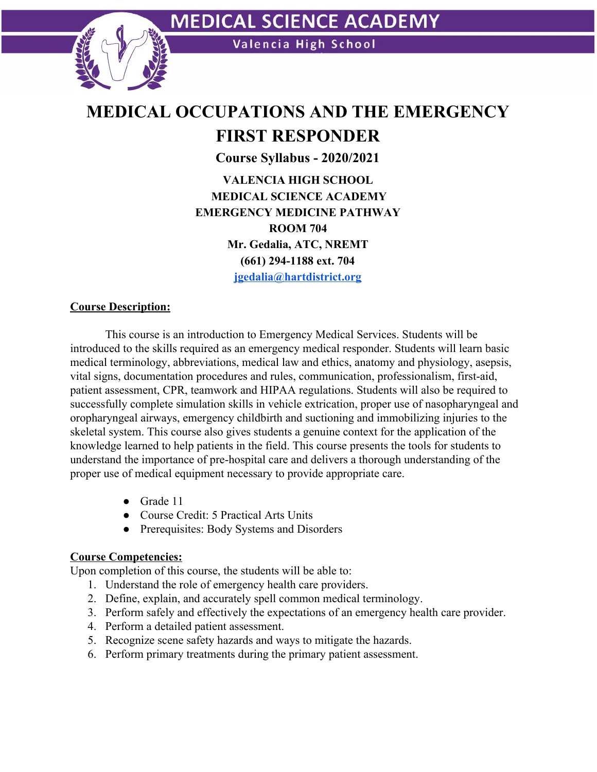

## **MEDICAL OCCUPATIONS AND THE EMERGENCY FIRST RESPONDER**

**Course Syllabus - 2020/2021 VALENCIA HIGH SCHOOL MEDICAL SCIENCE ACADEMY EMERGENCY MEDICINE PATHWAY ROOM 704 Mr. Gedalia, ATC, NREMT (661) 294-1188 ext. 704 [jgedalia@hartdistrict.org](mailto:jgedalia@hartdistrict.org)**

#### **Course Description:**

This course is an introduction to Emergency Medical Services. Students will be introduced to the skills required as an emergency medical responder. Students will learn basic medical terminology, abbreviations, medical law and ethics, anatomy and physiology, asepsis, vital signs, documentation procedures and rules, communication, professionalism, first-aid, patient assessment, CPR, teamwork and HIPAA regulations. Students will also be required to successfully complete simulation skills in vehicle extrication, proper use of nasopharyngeal and oropharyngeal airways, emergency childbirth and suctioning and immobilizing injuries to the skeletal system. This course also gives students a genuine context for the application of the knowledge learned to help patients in the field. This course presents the tools for students to understand the importance of pre-hospital care and delivers a thorough understanding of the proper use of medical equipment necessary to provide appropriate care.

- Grade 11
- Course Credit: 5 Practical Arts Units
- Prerequisites: Body Systems and Disorders

#### **Course Competencies:**

Upon completion of this course, the students will be able to:

- 1. Understand the role of emergency health care providers.
- 2. Define, explain, and accurately spell common medical terminology.
- 3. Perform safely and effectively the expectations of an emergency health care provider.
- 4. Perform a detailed patient assessment.
- 5. Recognize scene safety hazards and ways to mitigate the hazards.
- 6. Perform primary treatments during the primary patient assessment.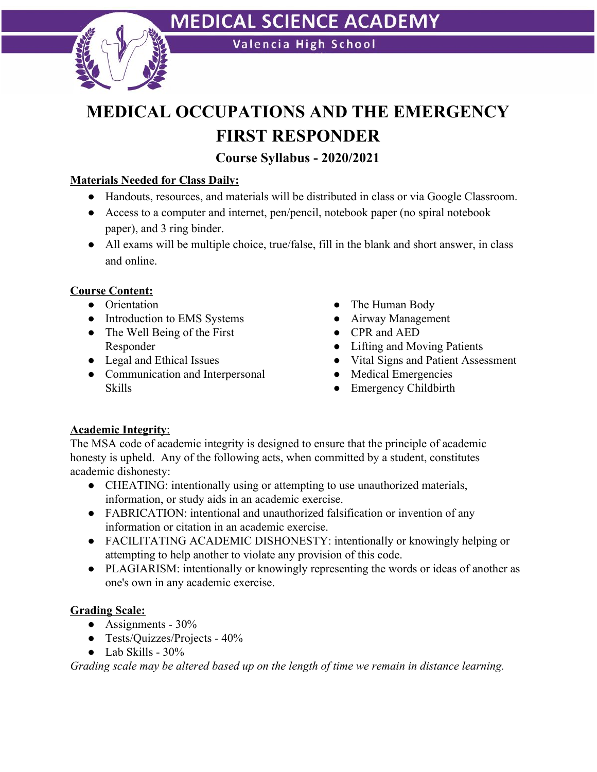

# **MEDICAL SCIENCE ACADEMY**

Valencia High School

# **MEDICAL OCCUPATIONS AND THE EMERGENCY FIRST RESPONDER**

### **Course Syllabus - 2020/2021**

### **Materials Needed for Class Daily:**

- Handouts, resources, and materials will be distributed in class or via Google Classroom.
- Access to a computer and internet, pen/pencil, notebook paper (no spiral notebook paper), and 3 ring binder.
- All exams will be multiple choice, true/false, fill in the blank and short answer, in class and online.

#### **Course Content:**

- Orientation
- Introduction to EMS Systems
- The Well Being of the First Responder
- Legal and Ethical Issues
- Communication and Interpersonal Skills
- The Human Body
- Airway Management
- CPR and AED
- Lifting and Moving Patients
- Vital Signs and Patient Assessment
- Medical Emergencies
- Emergency Childbirth

#### **Academic Integrity**:

The MSA code of academic integrity is designed to ensure that the principle of academic honesty is upheld. Any of the following acts, when committed by a student, constitutes academic dishonesty:

- CHEATING: intentionally using or attempting to use unauthorized materials, information, or study aids in an academic exercise.
- FABRICATION: intentional and unauthorized falsification or invention of any information or citation in an academic exercise.
- FACILITATING ACADEMIC DISHONESTY: intentionally or knowingly helping or attempting to help another to violate any provision of this code.
- PLAGIARISM: intentionally or knowingly representing the words or ideas of another as one's own in any academic exercise.

#### **Grading Scale:**

- Assignments  $30\%$
- Tests/Quizzes/Projects 40%
- $\bullet$  Lab Skills 30%

*Grading scale may be altered based up on the length of time we remain in distance learning.*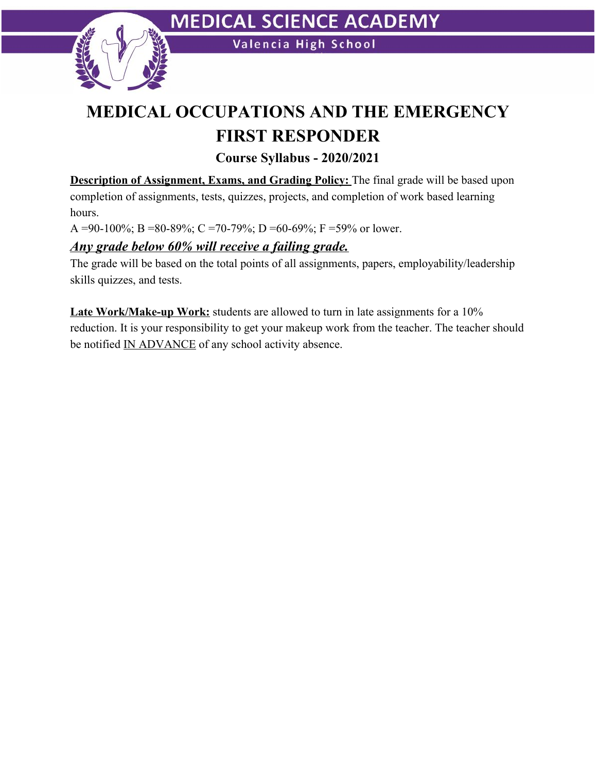

### **MEDICAL OCCUPATIONS AND THE EMERGENCY FIRST RESPONDER**

**Course Syllabus - 2020/2021**

**Description of Assignment, Exams, and Grading Policy:** The final grade will be based upon completion of assignments, tests, quizzes, projects, and completion of work based learning hours.

A =90-100%; B =80-89%; C =70-79%; D =60-69%; F =59% or lower.

### *Any grade below 60% will receive a failing grade.*

The grade will be based on the total points of all assignments, papers, employability/leadership skills quizzes, and tests.

**Late Work/Make-up Work:** students are allowed to turn in late assignments for a 10% reduction. It is your responsibility to get your makeup work from the teacher. The teacher should be notified IN ADVANCE of any school activity absence.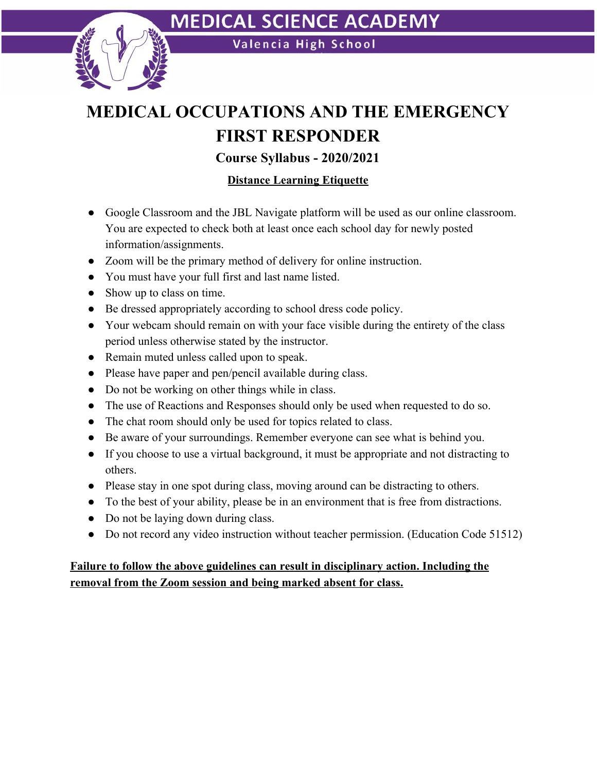

Valencia High School

### **MEDICAL OCCUPATIONS AND THE EMERGENCY FIRST RESPONDER**

**Course Syllabus - 2020/2021**

### **Distance Learning Etiquette**

- Google Classroom and the JBL Navigate platform will be used as our online classroom. You are expected to check both at least once each school day for newly posted information/assignments.
- Zoom will be the primary method of delivery for online instruction.
- You must have your full first and last name listed.
- Show up to class on time.
- Be dressed appropriately according to school dress code policy.
- Your webcam should remain on with your face visible during the entirety of the class period unless otherwise stated by the instructor.
- Remain muted unless called upon to speak.
- Please have paper and pen/pencil available during class.
- Do not be working on other things while in class.
- The use of Reactions and Responses should only be used when requested to do so.
- The chat room should only be used for topics related to class.
- Be aware of your surroundings. Remember everyone can see what is behind you.
- If you choose to use a virtual background, it must be appropriate and not distracting to others.
- Please stay in one spot during class, moving around can be distracting to others.
- To the best of your ability, please be in an environment that is free from distractions.
- Do not be laying down during class.
- Do not record any video instruction without teacher permission. (Education Code 51512)

### **Failure to follow the above guidelines can result in disciplinary action. Including the removal from the Zoom session and being marked absent for class.**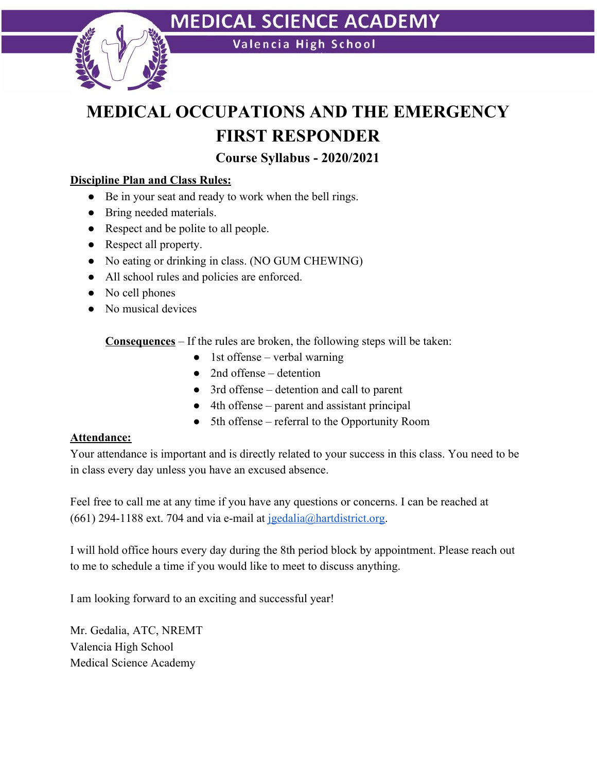

### **MEDICAL SCIENCE ACADEMY**

Valencia High School

### **MEDICAL OCCUPATIONS AND THE EMERGENCY FIRST RESPONDER**

**Course Syllabus - 2020/2021**

### **Discipline Plan and Class Rules:**

- Be in your seat and ready to work when the bell rings.
- Bring needed materials.
- Respect and be polite to all people.
- Respect all property.
- No eating or drinking in class. (NO GUM CHEWING)
- All school rules and policies are enforced.
- No cell phones
- No musical devices

**Consequences** – If the rules are broken, the following steps will be taken:

- $\bullet$  1st offense verbal warning
- $\bullet$  2nd offense detention
- 3rd offense detention and call to parent
- 4th offense parent and assistant principal
- 5th offense referral to the Opportunity Room

#### **Attendance:**

Your attendance is important and is directly related to your success in this class. You need to be in class every day unless you have an excused absence.

Feel free to call me at any time if you have any questions or concerns. I can be reached at (661) 294-1188 ext. 704 and via e-mail at  $j$ gedalia@hartdistrict.org.

I will hold office hours every day during the 8th period block by appointment. Please reach out to me to schedule a time if you would like to meet to discuss anything.

I am looking forward to an exciting and successful year!

Mr. Gedalia, ATC, NREMT Valencia High School Medical Science Academy